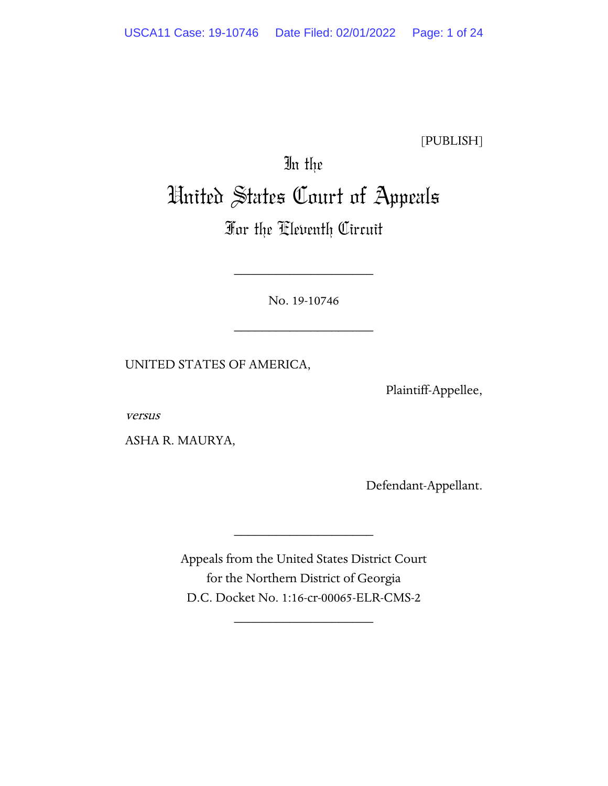[PUBLISH]

# In the United States Court of Appeals

# For the Eleventh Circuit

No. 19-10746

\_\_\_\_\_\_\_\_\_\_\_\_\_\_\_\_\_\_\_\_

\_\_\_\_\_\_\_\_\_\_\_\_\_\_\_\_\_\_\_\_

UNITED STATES OF AMERICA,

Plaintiff-Appellee,

versus

ASHA R. MAURYA,

Defendant-Appellant.

Appeals from the United States District Court for the Northern District of Georgia D.C. Docket No. 1:16-cr-00065-ELR-CMS-2

\_\_\_\_\_\_\_\_\_\_\_\_\_\_\_\_\_\_\_\_

\_\_\_\_\_\_\_\_\_\_\_\_\_\_\_\_\_\_\_\_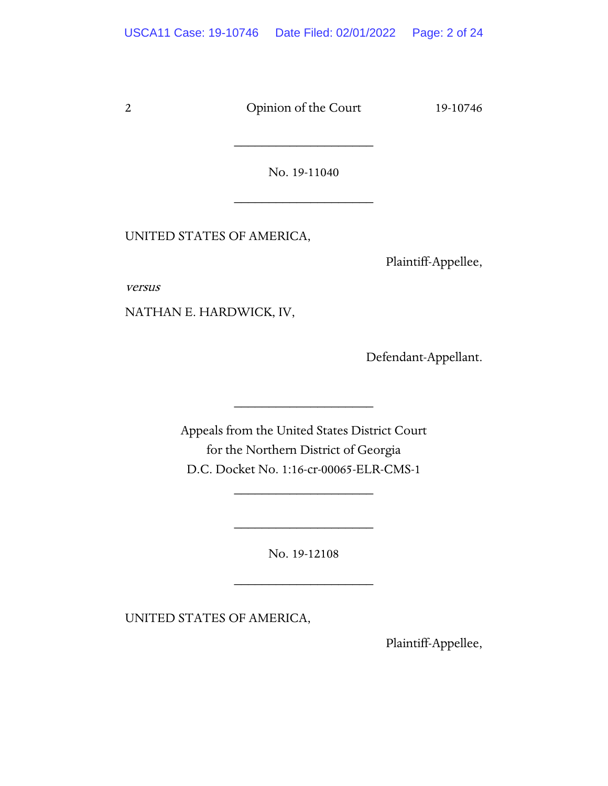No. 19-11040

\_\_\_\_\_\_\_\_\_\_\_\_\_\_\_\_\_\_\_\_

\_\_\_\_\_\_\_\_\_\_\_\_\_\_\_\_\_\_\_\_

UNITED STATES OF AMERICA,

Plaintiff-Appellee,

versus

NATHAN E. HARDWICK, IV,

Defendant-Appellant.

Appeals from the United States District Court for the Northern District of Georgia D.C. Docket No. 1:16-cr-00065-ELR-CMS-1

\_\_\_\_\_\_\_\_\_\_\_\_\_\_\_\_\_\_\_\_

\_\_\_\_\_\_\_\_\_\_\_\_\_\_\_\_\_\_\_\_

No. 19-12108

\_\_\_\_\_\_\_\_\_\_\_\_\_\_\_\_\_\_\_\_

\_\_\_\_\_\_\_\_\_\_\_\_\_\_\_\_\_\_\_\_

UNITED STATES OF AMERICA,

Plaintiff-Appellee,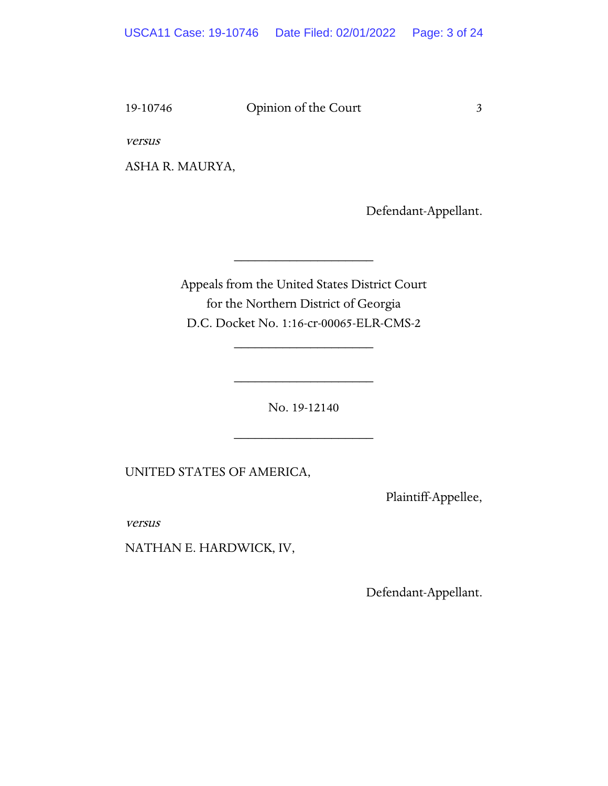versus

ASHA R. MAURYA,

Defendant-Appellant.

Appeals from the United States District Court for the Northern District of Georgia D.C. Docket No. 1:16-cr-00065-ELR-CMS-2

\_\_\_\_\_\_\_\_\_\_\_\_\_\_\_\_\_\_\_\_

\_\_\_\_\_\_\_\_\_\_\_\_\_\_\_\_\_\_\_\_

No. 19-12140

\_\_\_\_\_\_\_\_\_\_\_\_\_\_\_\_\_\_\_\_

\_\_\_\_\_\_\_\_\_\_\_\_\_\_\_\_\_\_\_\_

UNITED STATES OF AMERICA,

Plaintiff-Appellee,

versus

NATHAN E. HARDWICK, IV,

Defendant-Appellant.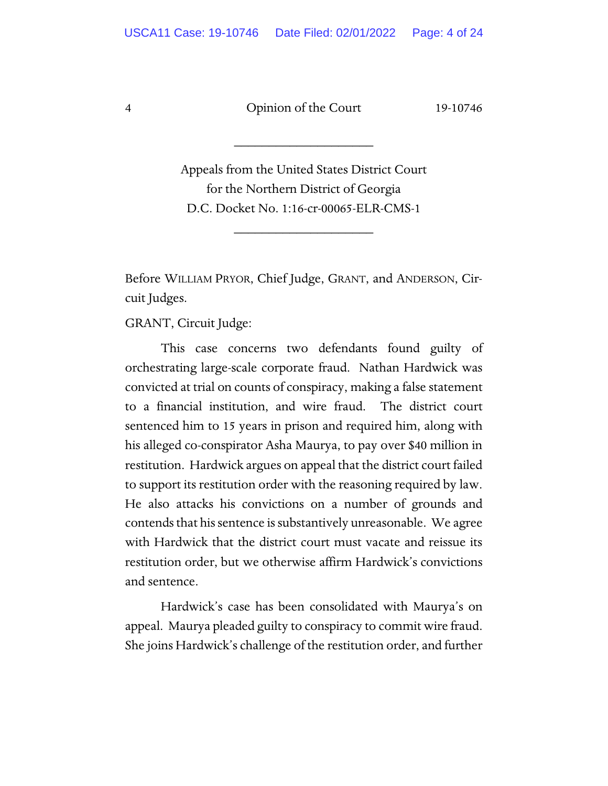\_\_\_\_\_\_\_\_\_\_\_\_\_\_\_\_\_\_\_\_

Appeals from the United States District Court for the Northern District of Georgia D.C. Docket No. 1:16-cr-00065-ELR-CMS-1

\_\_\_\_\_\_\_\_\_\_\_\_\_\_\_\_\_\_\_\_

Before WILLIAM PRYOR, Chief Judge, GRANT, and ANDERSON, Circuit Judges.

GRANT, Circuit Judge:

This case concerns two defendants found guilty of orchestrating large-scale corporate fraud. Nathan Hardwick was convicted at trial on counts of conspiracy, making a false statement to a financial institution, and wire fraud. The district court sentenced him to 15 years in prison and required him, along with his alleged co-conspirator Asha Maurya, to pay over \$40 million in restitution. Hardwick argues on appeal that the district court failed to support its restitution order with the reasoning required by law. He also attacks his convictions on a number of grounds and contends that his sentence is substantively unreasonable. We agree with Hardwick that the district court must vacate and reissue its restitution order, but we otherwise affirm Hardwick's convictions and sentence.

Hardwick's case has been consolidated with Maurya's on appeal. Maurya pleaded guilty to conspiracy to commit wire fraud. She joins Hardwick's challenge of the restitution order, and further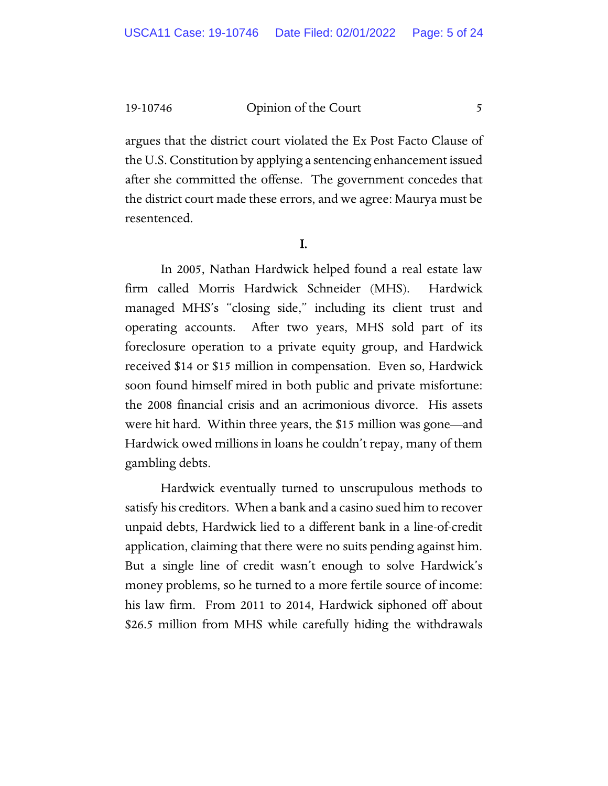argues that the district court violated the Ex Post Facto Clause of the U.S. Constitution by applying a sentencing enhancement issued after she committed the offense. The government concedes that the district court made these errors, and we agree: Maurya must be resentenced.

#### I.

In 2005, Nathan Hardwick helped found a real estate law firm called Morris Hardwick Schneider (MHS). Hardwick managed MHS's "closing side," including its client trust and operating accounts. After two years, MHS sold part of its foreclosure operation to a private equity group, and Hardwick received \$14 or \$15 million in compensation. Even so, Hardwick soon found himself mired in both public and private misfortune: the 2008 financial crisis and an acrimonious divorce. His assets were hit hard. Within three years, the \$15 million was gone—and Hardwick owed millions in loans he couldn't repay, many of them gambling debts.

Hardwick eventually turned to unscrupulous methods to satisfy his creditors. When a bank and a casino sued him to recover unpaid debts, Hardwick lied to a different bank in a line-of-credit application, claiming that there were no suits pending against him. But a single line of credit wasn't enough to solve Hardwick's money problems, so he turned to a more fertile source of income: his law firm. From 2011 to 2014, Hardwick siphoned off about \$26.5 million from MHS while carefully hiding the withdrawals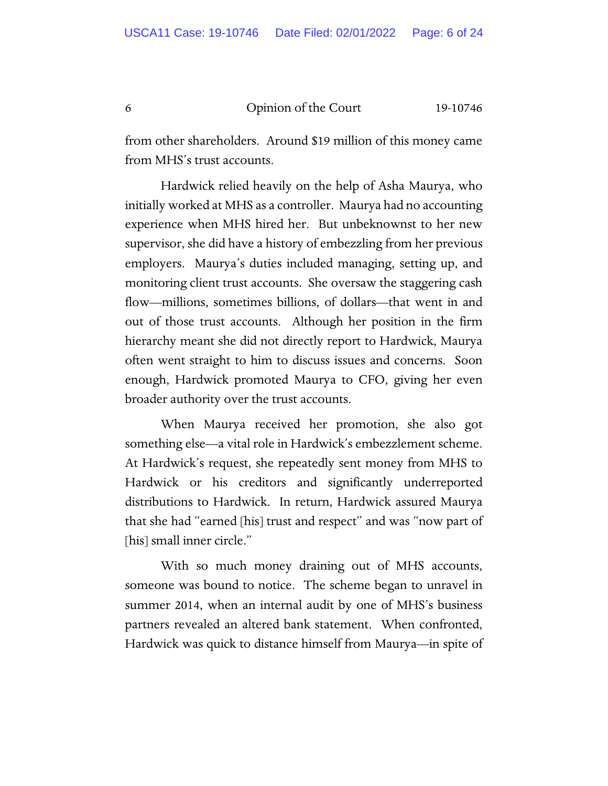from other shareholders. Around \$19 million of this money came from MHS's trust accounts.

Hardwick relied heavily on the help of Asha Maurya, who initially worked at MHS as a controller. Maurya had no accounting experience when MHS hired her. But unbeknownst to her new supervisor, she did have a history of embezzling from her previous employers. Maurya's duties included managing, setting up, and monitoring client trust accounts. She oversaw the staggering cash flow—millions, sometimes billions, of dollars—that went in and out of those trust accounts. Although her position in the firm hierarchy meant she did not directly report to Hardwick, Maurya often went straight to him to discuss issues and concerns. Soon enough, Hardwick promoted Maurya to CFO, giving her even broader authority over the trust accounts.

When Maurya received her promotion, she also got something else—a vital role in Hardwick's embezzlement scheme. At Hardwick's request, she repeatedly sent money from MHS to Hardwick or his creditors and significantly underreported distributions to Hardwick. In return, Hardwick assured Maurya that she had "earned [his] trust and respect" and was "now part of [his] small inner circle."

With so much money draining out of MHS accounts, someone was bound to notice. The scheme began to unravel in summer 2014, when an internal audit by one of MHS's business partners revealed an altered bank statement. When confronted, Hardwick was quick to distance himself from Maurya—in spite of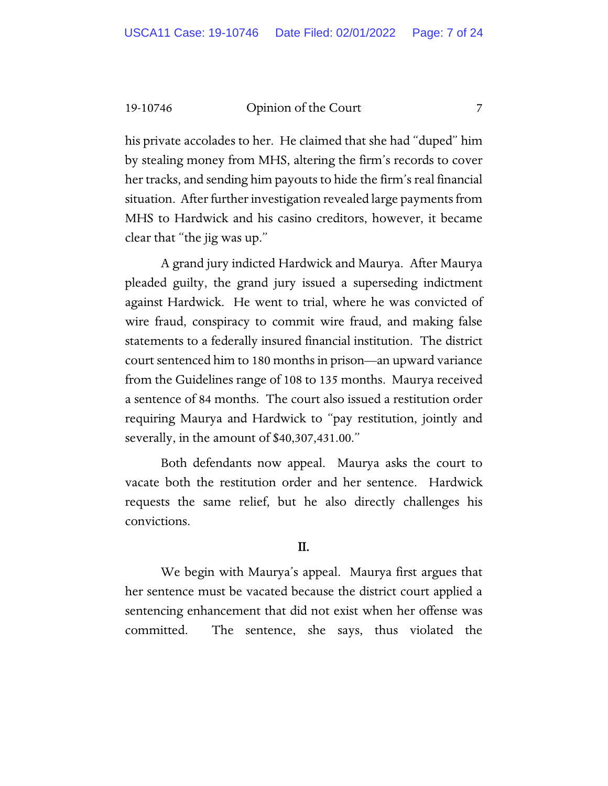his private accolades to her. He claimed that she had "duped" him by stealing money from MHS, altering the firm's records to cover her tracks, and sending him payouts to hide the firm's real financial situation. After further investigation revealed large payments from MHS to Hardwick and his casino creditors, however, it became clear that "the jig was up."

A grand jury indicted Hardwick and Maurya. After Maurya pleaded guilty, the grand jury issued a superseding indictment against Hardwick. He went to trial, where he was convicted of wire fraud, conspiracy to commit wire fraud, and making false statements to a federally insured financial institution. The district court sentenced him to 180 months in prison—an upward variance from the Guidelines range of 108 to 135 months. Maurya received a sentence of 84 months. The court also issued a restitution order requiring Maurya and Hardwick to "pay restitution, jointly and severally, in the amount of \$40,307,431.00."

Both defendants now appeal. Maurya asks the court to vacate both the restitution order and her sentence. Hardwick requests the same relief, but he also directly challenges his convictions.

## II.

We begin with Maurya's appeal. Maurya first argues that her sentence must be vacated because the district court applied a sentencing enhancement that did not exist when her offense was committed. The sentence, she says, thus violated the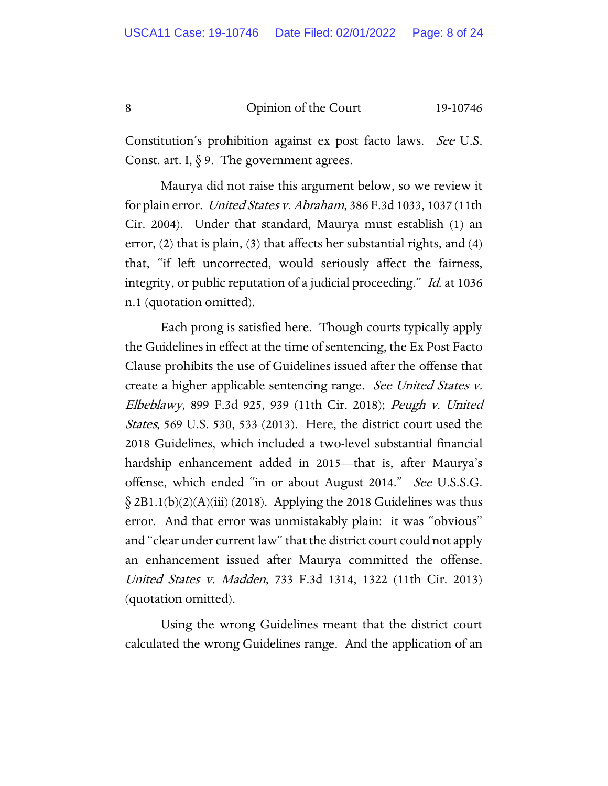Constitution's prohibition against ex post facto laws. See U.S. Const. art. I,  $\S$  9. The government agrees.

Maurya did not raise this argument below, so we review it for plain error. United States v. Abraham, 386 F.3d 1033, 1037 (11th Cir. 2004). Under that standard, Maurya must establish (1) an error, (2) that is plain, (3) that affects her substantial rights, and (4) that, "if left uncorrected, would seriously affect the fairness, integrity, or public reputation of a judicial proceeding." Id. at 1036 n.1 (quotation omitted).

Each prong is satisfied here. Though courts typically apply the Guidelines in effect at the time of sentencing, the Ex Post Facto Clause prohibits the use of Guidelines issued after the offense that create a higher applicable sentencing range. See United States v. Elbeblawy, 899 F.3d 925, 939 (11th Cir. 2018); Peugh v. United States, 569 U.S. 530, 533 (2013). Here, the district court used the 2018 Guidelines, which included a two-level substantial financial hardship enhancement added in 2015—that is, after Maurya's offense, which ended "in or about August 2014." See U.S.S.G.  $\S 2B1.1(b)(2)(A)(iii)$  (2018). Applying the 2018 Guidelines was thus error. And that error was unmistakably plain: it was "obvious" and "clear under current law" that the district court could not apply an enhancement issued after Maurya committed the offense. United States v. Madden, 733 F.3d 1314, 1322 (11th Cir. 2013) (quotation omitted).

Using the wrong Guidelines meant that the district court calculated the wrong Guidelines range. And the application of an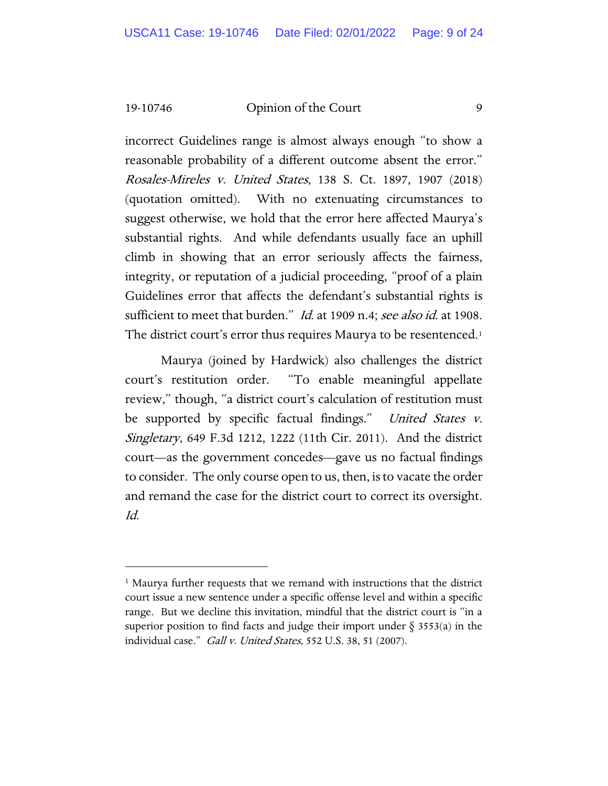incorrect Guidelines range is almost always enough "to show a reasonable probability of a different outcome absent the error." Rosales-Mireles v. United States, 138 S. Ct. 1897, 1907 (2018) (quotation omitted). With no extenuating circumstances to suggest otherwise, we hold that the error here affected Maurya's substantial rights. And while defendants usually face an uphill climb in showing that an error seriously affects the fairness, integrity, or reputation of a judicial proceeding, "proof of a plain Guidelines error that affects the defendant's substantial rights is sufficient to meet that burden." *Id.* at 1909 n.4; see also id. at 1908. The district court's error thus requires Maurya to be resentenced.<sup>[1](#page-8-0)</sup>

Maurya (joined by Hardwick) also challenges the district court's restitution order. "To enable meaningful appellate review," though, "a district court's calculation of restitution must be supported by specific factual findings." United States v. Singletary, 649 F.3d 1212, 1222 (11th Cir. 2011). And the district court—as the government concedes—gave us no factual findings to consider. The only course open to us, then, is to vacate the order and remand the case for the district court to correct its oversight. Id.

<span id="page-8-0"></span><sup>&</sup>lt;sup>1</sup> Maurya further requests that we remand with instructions that the district court issue a new sentence under a specific offense level and within a specific range. But we decline this invitation, mindful that the district court is "in a superior position to find facts and judge their import under  $\S$  3553(a) in the individual case." Gall v. United States, 552 U.S. 38, 51 (2007).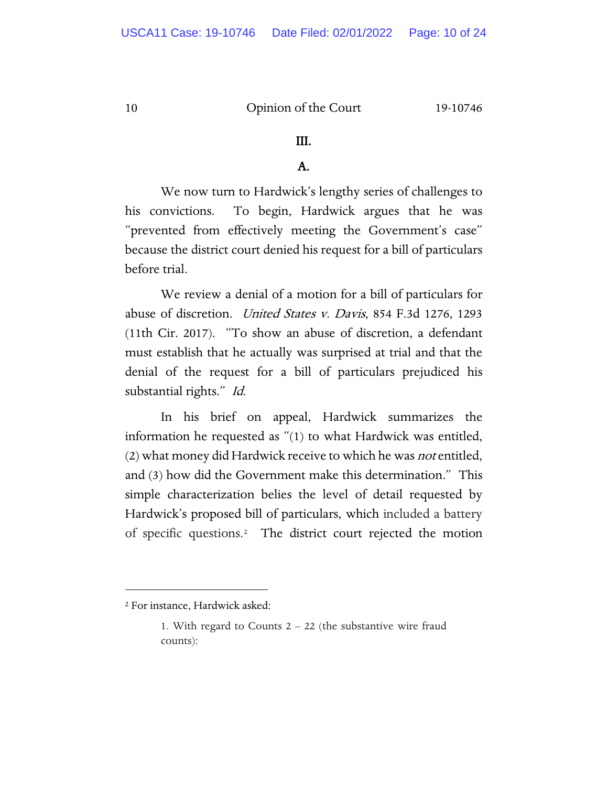#### III.

# A.

We now turn to Hardwick's lengthy series of challenges to his convictions. To begin, Hardwick argues that he was "prevented from effectively meeting the Government's case" because the district court denied his request for a bill of particulars before trial.

We review a denial of a motion for a bill of particulars for abuse of discretion. United States v. Davis, 854 F.3d 1276, 1293 (11th Cir. 2017). "To show an abuse of discretion, a defendant must establish that he actually was surprised at trial and that the denial of the request for a bill of particulars prejudiced his substantial rights." Id.

In his brief on appeal, Hardwick summarizes the information he requested as "(1) to what Hardwick was entitled, (2) what money did Hardwick receive to which he was *not* entitled, and (3) how did the Government make this determination." This simple characterization belies the level of detail requested by Hardwick's proposed bill of particulars, which included a battery of specific questions.[2](#page-9-0) The district court rejected the motion

<span id="page-9-0"></span><sup>2</sup> For instance, Hardwick asked:

<sup>1.</sup> With regard to Counts 2 – 22 (the substantive wire fraud counts):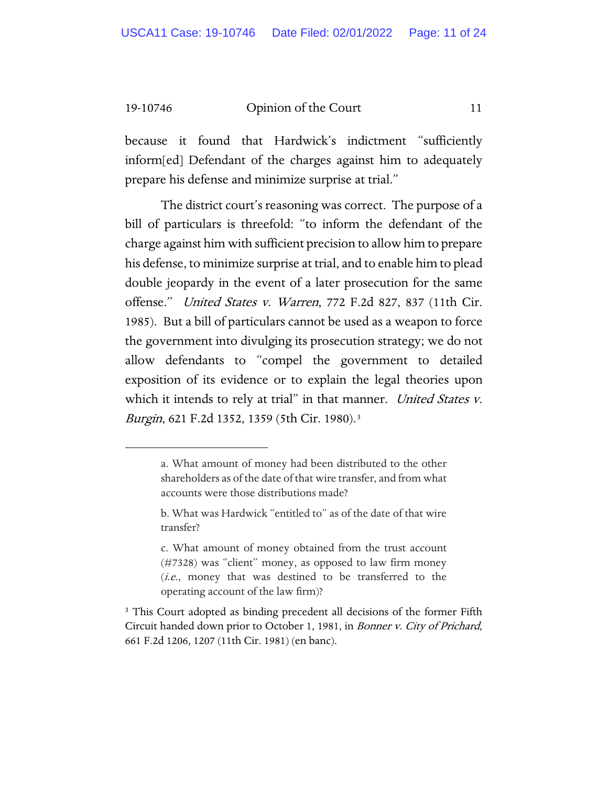because it found that Hardwick's indictment "sufficiently inform[ed] Defendant of the charges against him to adequately prepare his defense and minimize surprise at trial."

The district court's reasoning was correct. The purpose of a bill of particulars is threefold: "to inform the defendant of the charge against him with sufficient precision to allow him to prepare his defense, to minimize surprise at trial, and to enable him to plead double jeopardy in the event of a later prosecution for the same offense." United States v. Warren, 772 F.2d 827, 837 (11th Cir. 1985). But a bill of particulars cannot be used as a weapon to force the government into divulging its prosecution strategy; we do not allow defendants to "compel the government to detailed exposition of its evidence or to explain the legal theories upon which it intends to rely at trial" in that manner. United States v. *Burgin*, 621 F.2d 1[3](#page-10-0)52, 1359 (5th Cir. 1980).<sup>3</sup>

a. What amount of money had been distributed to the other shareholders as of the date of that wire transfer, and from what accounts were those distributions made?

b. What was Hardwick "entitled to" as of the date of that wire transfer?

c. What amount of money obtained from the trust account (#7328) was "client" money, as opposed to law firm money (i.e., money that was destined to be transferred to the operating account of the law firm)?

<span id="page-10-0"></span><sup>&</sup>lt;sup>3</sup> This Court adopted as binding precedent all decisions of the former Fifth Circuit handed down prior to October 1, 1981, in Bonner v. City of Prichard, 661 F.2d 1206, 1207 (11th Cir. 1981) (en banc).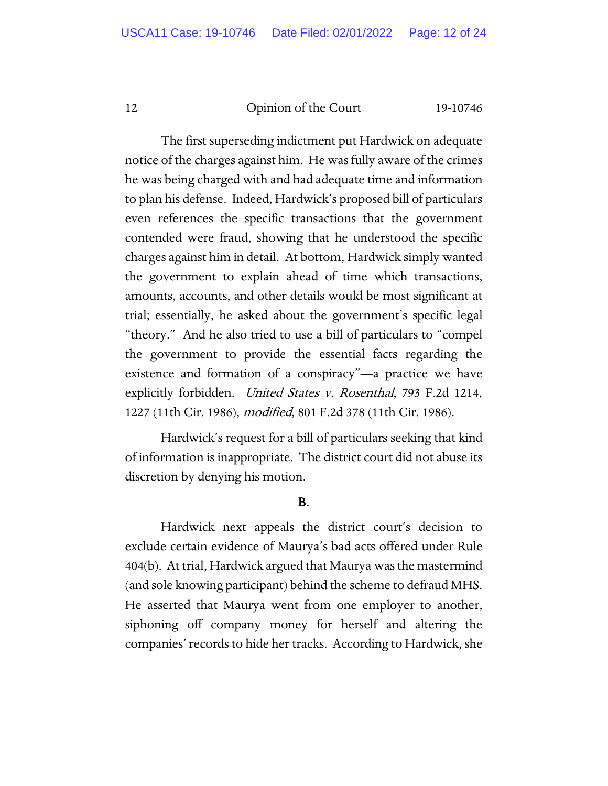The first superseding indictment put Hardwick on adequate notice of the charges against him. He was fully aware of the crimes he was being charged with and had adequate time and information to plan his defense. Indeed, Hardwick's proposed bill of particulars even references the specific transactions that the government contended were fraud, showing that he understood the specific charges against him in detail. At bottom, Hardwick simply wanted the government to explain ahead of time which transactions, amounts, accounts, and other details would be most significant at trial; essentially, he asked about the government's specific legal "theory." And he also tried to use a bill of particulars to "compel the government to provide the essential facts regarding the existence and formation of a conspiracy"—a practice we have explicitly forbidden. United States v. Rosenthal, 793 F.2d 1214, 1227 (11th Cir. 1986), modified, 801 F.2d 378 (11th Cir. 1986).

Hardwick's request for a bill of particulars seeking that kind of information is inappropriate. The district court did not abuse its discretion by denying his motion.

#### B.

Hardwick next appeals the district court's decision to exclude certain evidence of Maurya's bad acts offered under Rule 404(b). At trial, Hardwick argued that Maurya was the mastermind (and sole knowing participant) behind the scheme to defraud MHS. He asserted that Maurya went from one employer to another, siphoning off company money for herself and altering the companies' records to hide her tracks. According to Hardwick, she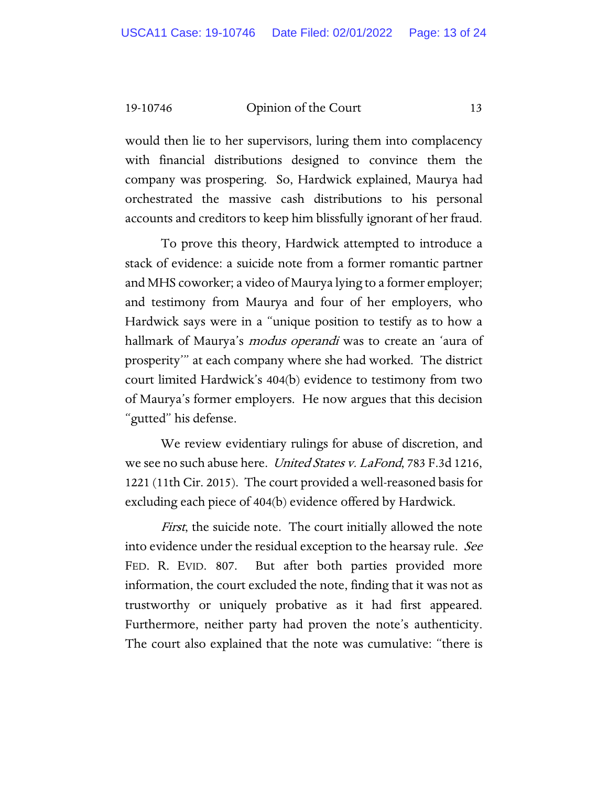would then lie to her supervisors, luring them into complacency with financial distributions designed to convince them the company was prospering. So, Hardwick explained, Maurya had orchestrated the massive cash distributions to his personal accounts and creditors to keep him blissfully ignorant of her fraud.

To prove this theory, Hardwick attempted to introduce a stack of evidence: a suicide note from a former romantic partner and MHS coworker; a video of Maurya lying to a former employer; and testimony from Maurya and four of her employers, who Hardwick says were in a "unique position to testify as to how a hallmark of Maurya's *modus operandi* was to create an 'aura of prosperity'" at each company where she had worked. The district court limited Hardwick's 404(b) evidence to testimony from two of Maurya's former employers. He now argues that this decision "gutted" his defense.

We review evidentiary rulings for abuse of discretion, and we see no such abuse here. *United States v. LaFond*, 783 F.3d 1216, 1221 (11th Cir. 2015). The court provided a well-reasoned basis for excluding each piece of 404(b) evidence offered by Hardwick.

*First*, the suicide note. The court initially allowed the note into evidence under the residual exception to the hearsay rule. See FED. R. EVID. 807. But after both parties provided more information, the court excluded the note, finding that it was not as trustworthy or uniquely probative as it had first appeared. Furthermore, neither party had proven the note's authenticity. The court also explained that the note was cumulative: "there is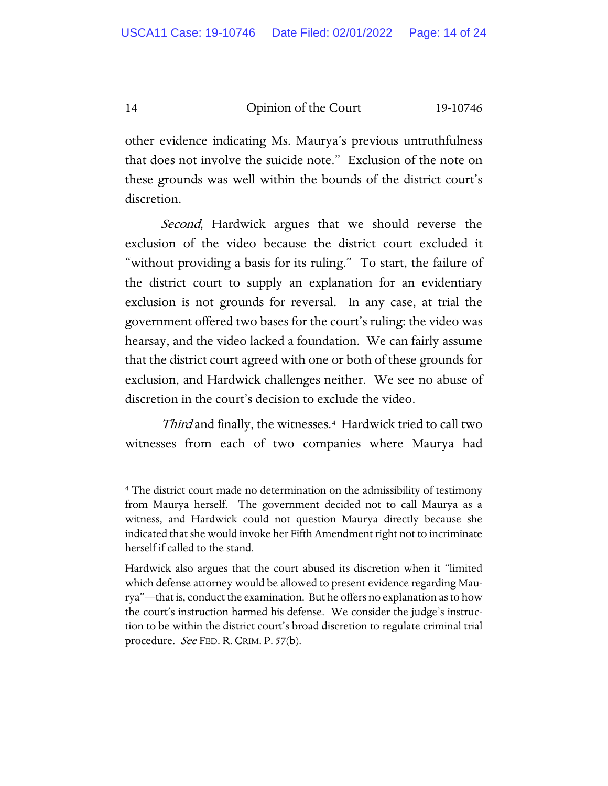other evidence indicating Ms. Maurya's previous untruthfulness that does not involve the suicide note." Exclusion of the note on these grounds was well within the bounds of the district court's discretion.

Second, Hardwick argues that we should reverse the exclusion of the video because the district court excluded it "without providing a basis for its ruling." To start, the failure of the district court to supply an explanation for an evidentiary exclusion is not grounds for reversal. In any case, at trial the government offered two bases for the court's ruling: the video was hearsay, and the video lacked a foundation. We can fairly assume that the district court agreed with one or both of these grounds for exclusion, and Hardwick challenges neither. We see no abuse of discretion in the court's decision to exclude the video.

Third and finally, the witnesses.<sup>[4](#page-13-0)</sup> Hardwick tried to call two witnesses from each of two companies where Maurya had

<span id="page-13-0"></span><sup>4</sup> The district court made no determination on the admissibility of testimony from Maurya herself. The government decided not to call Maurya as a witness, and Hardwick could not question Maurya directly because she indicated that she would invoke her Fifth Amendment right not to incriminate herself if called to the stand.

Hardwick also argues that the court abused its discretion when it "limited which defense attorney would be allowed to present evidence regarding Maurya"—that is, conduct the examination. But he offers no explanation as to how the court's instruction harmed his defense. We consider the judge's instruction to be within the district court's broad discretion to regulate criminal trial procedure. *See* FED. R. CRIM. P. 57(b).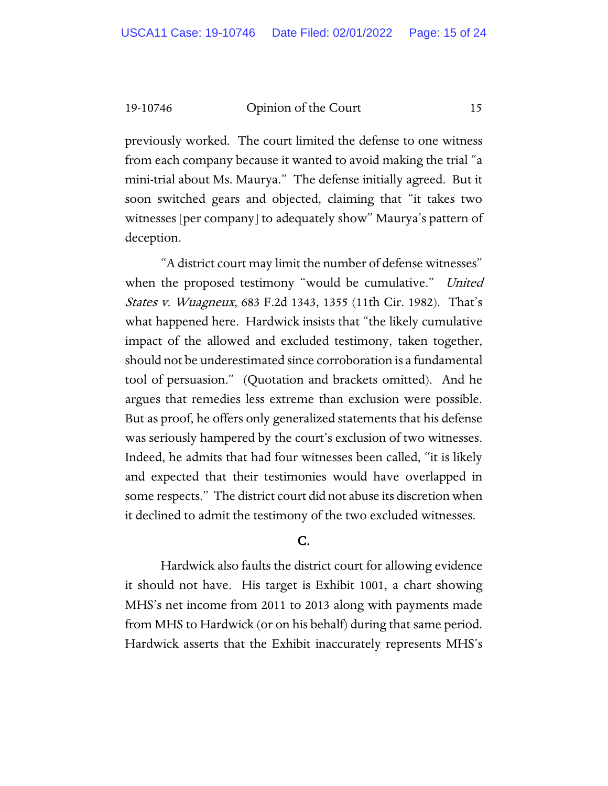previously worked. The court limited the defense to one witness from each company because it wanted to avoid making the trial "a mini-trial about Ms. Maurya." The defense initially agreed. But it soon switched gears and objected, claiming that "it takes two witnesses [per company] to adequately show" Maurya's pattern of deception.

"A district court may limit the number of defense witnesses" when the proposed testimony "would be cumulative." United States v. Wuagneux, 683 F.2d 1343, 1355 (11th Cir. 1982). That's what happened here. Hardwick insists that "the likely cumulative impact of the allowed and excluded testimony, taken together, should not be underestimated since corroboration is a fundamental tool of persuasion." (Quotation and brackets omitted). And he argues that remedies less extreme than exclusion were possible. But as proof, he offers only generalized statements that his defense was seriously hampered by the court's exclusion of two witnesses. Indeed, he admits that had four witnesses been called, "it is likely and expected that their testimonies would have overlapped in some respects." The district court did not abuse its discretion when it declined to admit the testimony of the two excluded witnesses.

# C.

Hardwick also faults the district court for allowing evidence it should not have. His target is Exhibit 1001, a chart showing MHS's net income from 2011 to 2013 along with payments made from MHS to Hardwick (or on his behalf) during that same period. Hardwick asserts that the Exhibit inaccurately represents MHS's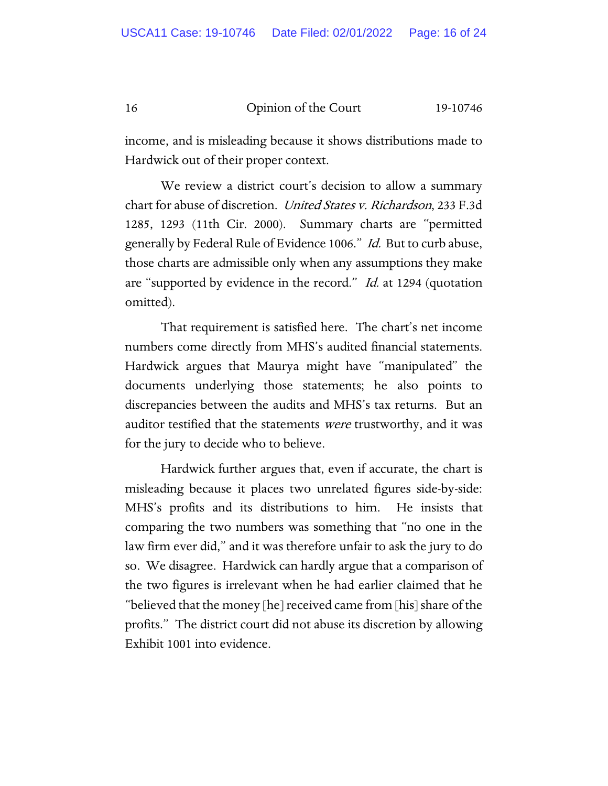income, and is misleading because it shows distributions made to Hardwick out of their proper context.

We review a district court's decision to allow a summary chart for abuse of discretion. United States v. Richardson, 233 F.3d 1285, 1293 (11th Cir. 2000). Summary charts are "permitted generally by Federal Rule of Evidence 1006." Id. But to curb abuse, those charts are admissible only when any assumptions they make are "supported by evidence in the record." *Id.* at 1294 (quotation omitted).

That requirement is satisfied here. The chart's net income numbers come directly from MHS's audited financial statements. Hardwick argues that Maurya might have "manipulated" the documents underlying those statements; he also points to discrepancies between the audits and MHS's tax returns. But an auditor testified that the statements *were* trustworthy, and it was for the jury to decide who to believe.

Hardwick further argues that, even if accurate, the chart is misleading because it places two unrelated figures side-by-side: MHS's profits and its distributions to him. He insists that comparing the two numbers was something that "no one in the law firm ever did," and it was therefore unfair to ask the jury to do so. We disagree. Hardwick can hardly argue that a comparison of the two figures is irrelevant when he had earlier claimed that he "believed that the money [he] received came from [his] share of the profits." The district court did not abuse its discretion by allowing Exhibit 1001 into evidence.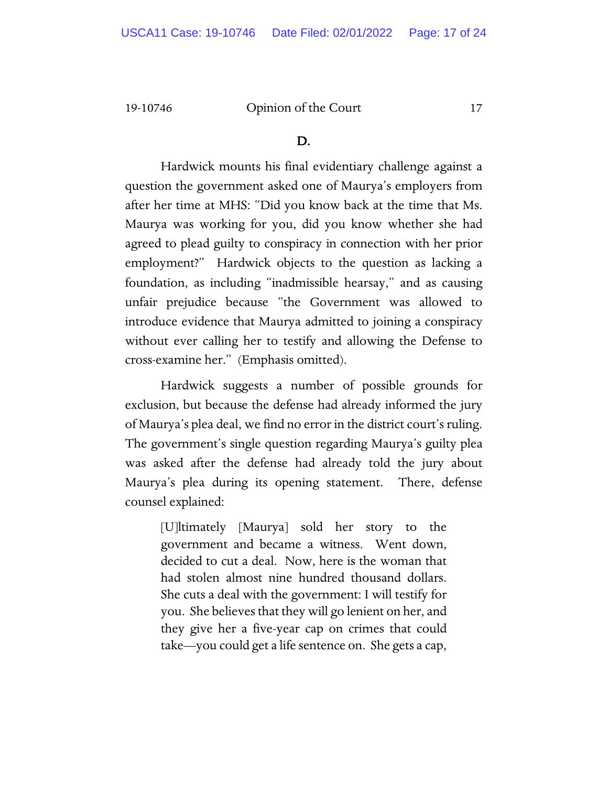#### D.

Hardwick mounts his final evidentiary challenge against a question the government asked one of Maurya's employers from after her time at MHS: "Did you know back at the time that Ms. Maurya was working for you, did you know whether she had agreed to plead guilty to conspiracy in connection with her prior employment?" Hardwick objects to the question as lacking a foundation, as including "inadmissible hearsay," and as causing unfair prejudice because "the Government was allowed to introduce evidence that Maurya admitted to joining a conspiracy without ever calling her to testify and allowing the Defense to cross-examine her." (Emphasis omitted).

Hardwick suggests a number of possible grounds for exclusion, but because the defense had already informed the jury of Maurya's plea deal, we find no error in the district court's ruling. The government's single question regarding Maurya's guilty plea was asked after the defense had already told the jury about Maurya's plea during its opening statement. There, defense counsel explained:

[U]ltimately [Maurya] sold her story to the government and became a witness. Went down, decided to cut a deal. Now, here is the woman that had stolen almost nine hundred thousand dollars. She cuts a deal with the government: I will testify for you. She believes that they will go lenient on her, and they give her a five-year cap on crimes that could take—you could get a life sentence on. She gets a cap,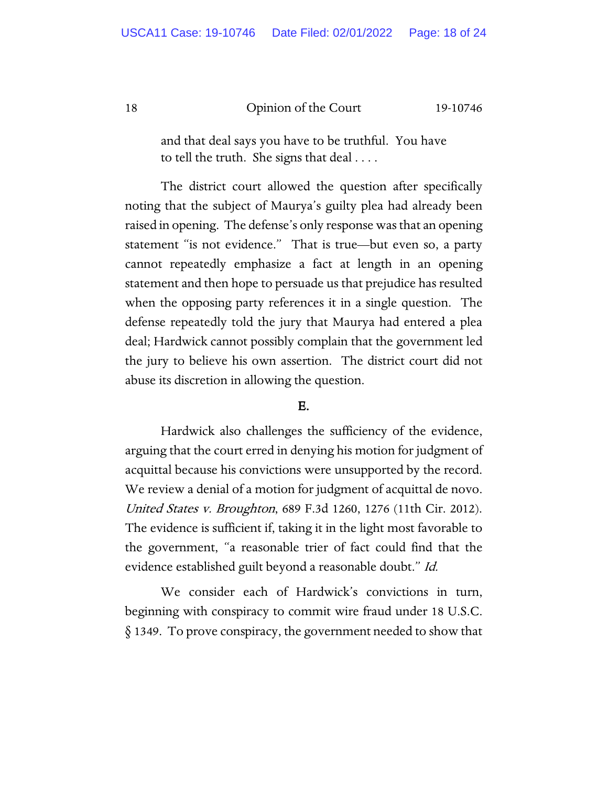and that deal says you have to be truthful. You have to tell the truth. She signs that deal . . . .

The district court allowed the question after specifically noting that the subject of Maurya's guilty plea had already been raised in opening. The defense's only response was that an opening statement "is not evidence." That is true—but even so, a party cannot repeatedly emphasize a fact at length in an opening statement and then hope to persuade us that prejudice has resulted when the opposing party references it in a single question. The defense repeatedly told the jury that Maurya had entered a plea deal; Hardwick cannot possibly complain that the government led the jury to believe his own assertion. The district court did not abuse its discretion in allowing the question.

#### E.

Hardwick also challenges the sufficiency of the evidence, arguing that the court erred in denying his motion for judgment of acquittal because his convictions were unsupported by the record. We review a denial of a motion for judgment of acquittal de novo. United States v. Broughton, 689 F.3d 1260, 1276 (11th Cir. 2012). The evidence is sufficient if, taking it in the light most favorable to the government, "a reasonable trier of fact could find that the evidence established guilt beyond a reasonable doubt." Id.

We consider each of Hardwick's convictions in turn, beginning with conspiracy to commit wire fraud under 18 U.S.C. § 1349. To prove conspiracy, the government needed to show that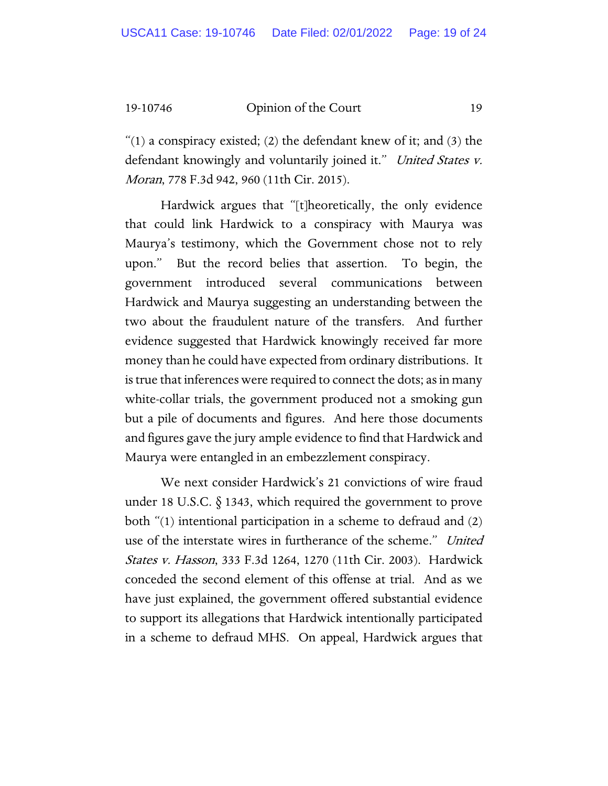" $(1)$  a conspiracy existed;  $(2)$  the defendant knew of it; and  $(3)$  the defendant knowingly and voluntarily joined it." United States v. Moran, 778 F.3d 942, 960 (11th Cir. 2015).

Hardwick argues that "[t]heoretically, the only evidence that could link Hardwick to a conspiracy with Maurya was Maurya's testimony, which the Government chose not to rely upon." But the record belies that assertion. To begin, the government introduced several communications between Hardwick and Maurya suggesting an understanding between the two about the fraudulent nature of the transfers. And further evidence suggested that Hardwick knowingly received far more money than he could have expected from ordinary distributions. It is true that inferences were required to connect the dots; as in many white-collar trials, the government produced not a smoking gun but a pile of documents and figures. And here those documents and figures gave the jury ample evidence to find that Hardwick and Maurya were entangled in an embezzlement conspiracy.

We next consider Hardwick's 21 convictions of wire fraud under 18 U.S.C. § 1343, which required the government to prove both "(1) intentional participation in a scheme to defraud and (2) use of the interstate wires in furtherance of the scheme." United States v. Hasson, 333 F.3d 1264, 1270 (11th Cir. 2003). Hardwick conceded the second element of this offense at trial. And as we have just explained, the government offered substantial evidence to support its allegations that Hardwick intentionally participated in a scheme to defraud MHS. On appeal, Hardwick argues that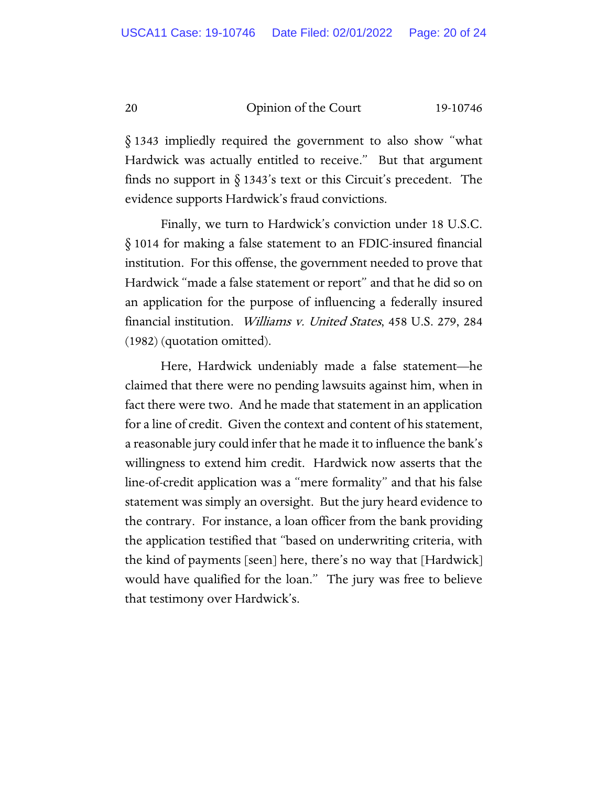§ 1343 impliedly required the government to also show "what Hardwick was actually entitled to receive." But that argument finds no support in  $\S$  1343's text or this Circuit's precedent. The evidence supports Hardwick's fraud convictions.

Finally, we turn to Hardwick's conviction under 18 U.S.C. § 1014 for making a false statement to an FDIC-insured financial institution. For this offense, the government needed to prove that Hardwick "made a false statement or report" and that he did so on an application for the purpose of influencing a federally insured financial institution. Williams v. United States, 458 U.S. 279, 284 (1982) (quotation omitted).

Here, Hardwick undeniably made a false statement—he claimed that there were no pending lawsuits against him, when in fact there were two. And he made that statement in an application for a line of credit. Given the context and content of his statement, a reasonable jury could infer that he made it to influence the bank's willingness to extend him credit. Hardwick now asserts that the line-of-credit application was a "mere formality" and that his false statement was simply an oversight. But the jury heard evidence to the contrary. For instance, a loan officer from the bank providing the application testified that "based on underwriting criteria, with the kind of payments [seen] here, there's no way that [Hardwick] would have qualified for the loan." The jury was free to believe that testimony over Hardwick's.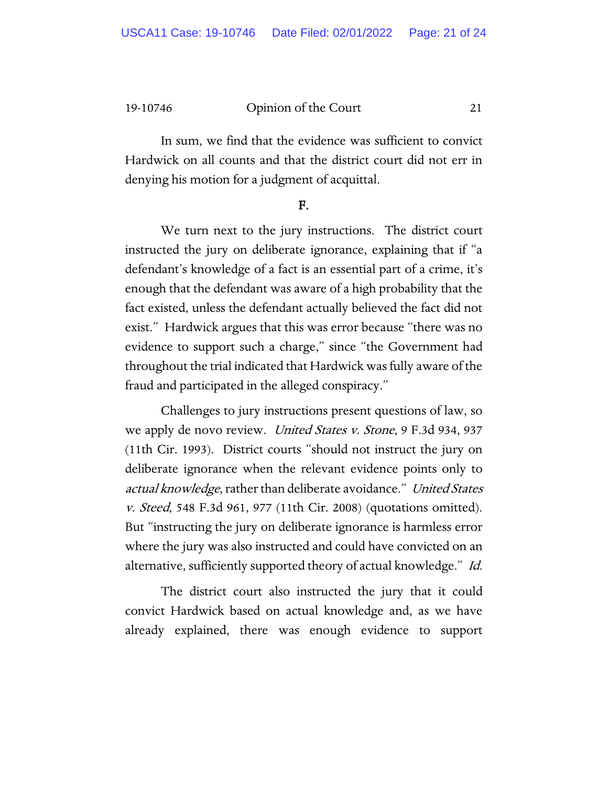In sum, we find that the evidence was sufficient to convict Hardwick on all counts and that the district court did not err in denying his motion for a judgment of acquittal.

#### F.

We turn next to the jury instructions. The district court instructed the jury on deliberate ignorance, explaining that if "a defendant's knowledge of a fact is an essential part of a crime, it's enough that the defendant was aware of a high probability that the fact existed, unless the defendant actually believed the fact did not exist." Hardwick argues that this was error because "there was no evidence to support such a charge," since "the Government had throughout the trial indicated that Hardwick was fully aware of the fraud and participated in the alleged conspiracy."

Challenges to jury instructions present questions of law, so we apply de novo review. *United States v. Stone*, 9 F.3d 934, 937 (11th Cir. 1993). District courts "should not instruct the jury on deliberate ignorance when the relevant evidence points only to actual knowledge, rather than deliberate avoidance." United States v. Steed, 548 F.3d 961, 977 (11th Cir. 2008) (quotations omitted). But "instructing the jury on deliberate ignorance is harmless error where the jury was also instructed and could have convicted on an alternative, sufficiently supported theory of actual knowledge." Id.

The district court also instructed the jury that it could convict Hardwick based on actual knowledge and, as we have already explained, there was enough evidence to support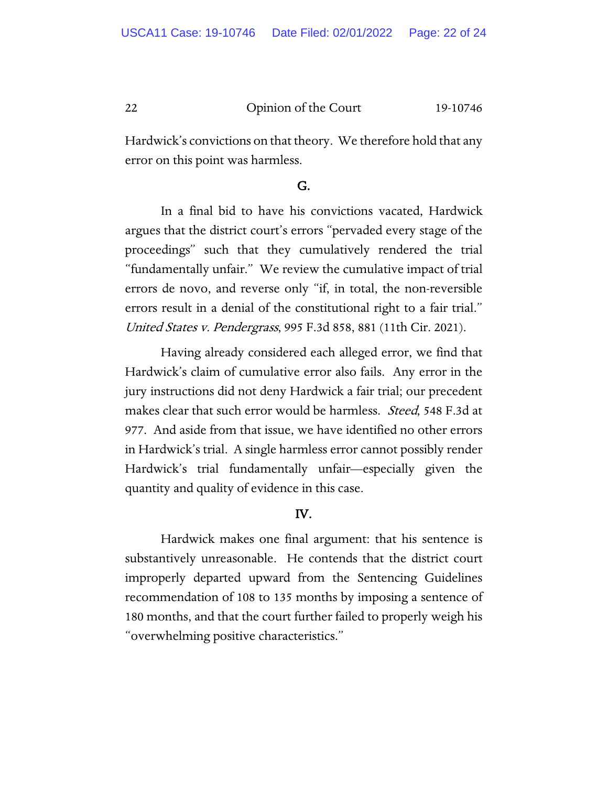Hardwick's convictions on that theory. We therefore hold that any error on this point was harmless.

#### G.

In a final bid to have his convictions vacated, Hardwick argues that the district court's errors "pervaded every stage of the proceedings" such that they cumulatively rendered the trial "fundamentally unfair." We review the cumulative impact of trial errors de novo, and reverse only "if, in total, the non-reversible errors result in a denial of the constitutional right to a fair trial." United States v. Pendergrass, 995 F.3d 858, 881 (11th Cir. 2021).

Having already considered each alleged error, we find that Hardwick's claim of cumulative error also fails. Any error in the jury instructions did not deny Hardwick a fair trial; our precedent makes clear that such error would be harmless. *Steed*, 548 F.3d at 977. And aside from that issue, we have identified no other errors in Hardwick's trial. A single harmless error cannot possibly render Hardwick's trial fundamentally unfair—especially given the quantity and quality of evidence in this case.

# IV.

Hardwick makes one final argument: that his sentence is substantively unreasonable. He contends that the district court improperly departed upward from the Sentencing Guidelines recommendation of 108 to 135 months by imposing a sentence of 180 months, and that the court further failed to properly weigh his "overwhelming positive characteristics."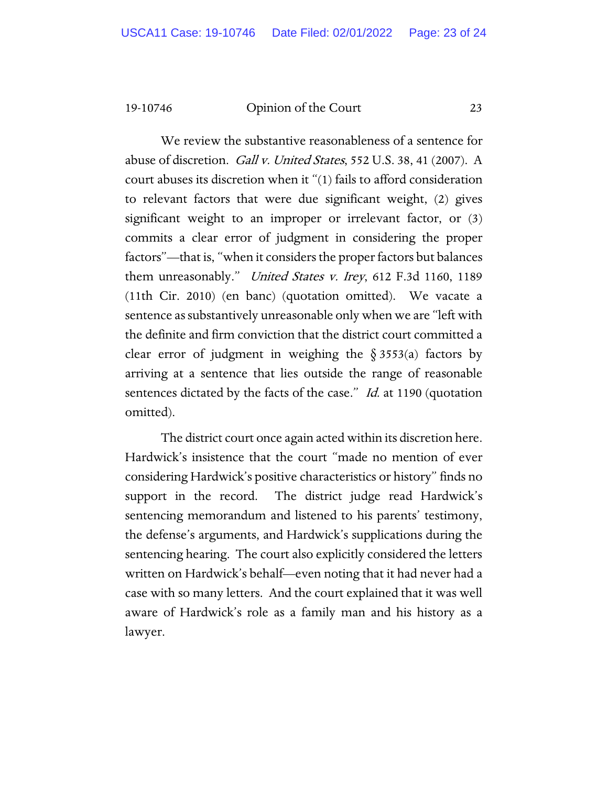We review the substantive reasonableness of a sentence for abuse of discretion. *Gall v. United States*, 552 U.S. 38, 41 (2007). A court abuses its discretion when it "(1) fails to afford consideration to relevant factors that were due significant weight, (2) gives significant weight to an improper or irrelevant factor, or (3) commits a clear error of judgment in considering the proper factors"—that is, "when it considers the proper factors but balances them unreasonably." *United States v. Irey*, 612 F.3d 1160, 1189 (11th Cir. 2010) (en banc) (quotation omitted). We vacate a sentence as substantively unreasonable only when we are "left with the definite and firm conviction that the district court committed a clear error of judgment in weighing the  $\S$  3553(a) factors by arriving at a sentence that lies outside the range of reasonable sentences dictated by the facts of the case." *Id.* at 1190 (quotation omitted).

The district court once again acted within its discretion here. Hardwick's insistence that the court "made no mention of ever considering Hardwick's positive characteristics or history" finds no support in the record. The district judge read Hardwick's sentencing memorandum and listened to his parents' testimony, the defense's arguments, and Hardwick's supplications during the sentencing hearing. The court also explicitly considered the letters written on Hardwick's behalf—even noting that it had never had a case with so many letters. And the court explained that it was well aware of Hardwick's role as a family man and his history as a lawyer.